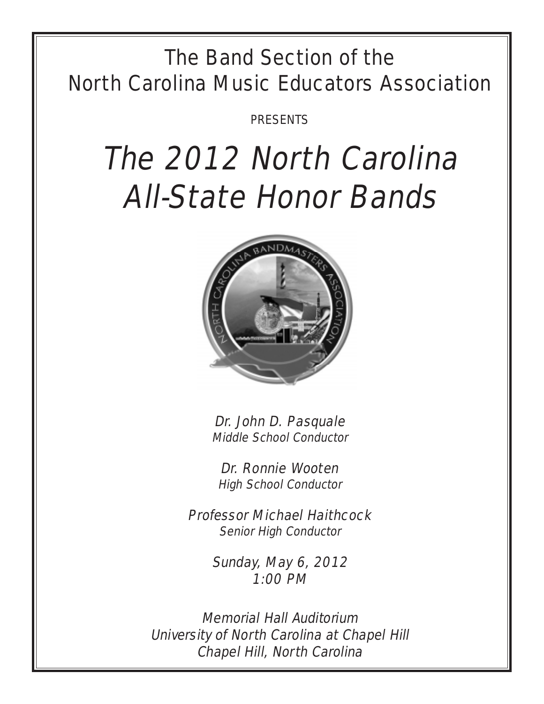## The Band Section of the North Carolina Music Educators Association

PRESENTS

# The 2012 North Carolina All-State Honor Bands



Dr. John D. Pasquale Middle School Conductor

Dr. Ronnie Wooten High School Conductor

Professor Michael Haithcock Senior High Conductor

> Sunday, May 6, 2012 1:00 PM

Memorial Hall Auditorium University of North Carolina at Chapel Hill Chapel Hill, North Carolina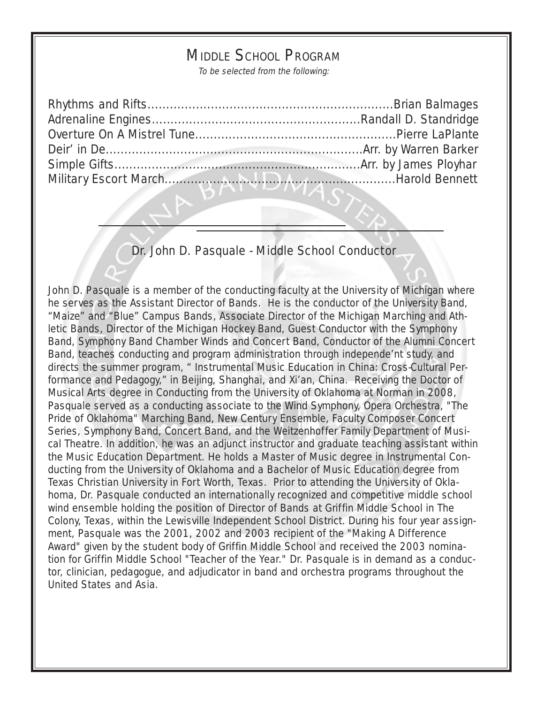## MIDDLE SCHOOL PROGRAM

To be selected from the following:

#### Dr. John D. Pasquale - Middle School Conductor

John D. Pasquale is a member of the conducting faculty at the University of Michigan where he serves as the Assistant Director of Bands. He is the conductor of the University Band, "Maize" and "Blue" Campus Bands, Associate Director of the Michigan Marching and Athletic Bands, Director of the Michigan Hockey Band, Guest Conductor with the Symphony Band, Symphony Band Chamber Winds and Concert Band, Conductor of the Alumni Concert Band, teaches conducting and program administration through independe'nt study, and directs the summer program, " Instrumental Music Education in China: Cross-Cultural Performance and Pedagogy," in Beijing, Shanghai, and Xi'an, China. Receiving the Doctor of Musical Arts degree in Conducting from the University of Oklahoma at Norman in 2008, Pasquale served as a conducting associate to the Wind Symphony, Opera Orchestra, "The Pride of Oklahoma" Marching Band, New Century Ensemble, Faculty Composer Concert Series, Symphony Band, Concert Band, and the Weitzenhoffer Family Department of Musical Theatre. In addition, he was an adjunct instructor and graduate teaching assistant within the Music Education Department. He holds a Master of Music degree in Instrumental Conducting from the University of Oklahoma and a Bachelor of Music Education degree from Texas Christian University in Fort Worth, Texas. Prior to attending the University of Oklahoma, Dr. Pasquale conducted an internationally recognized and competitive middle school wind ensemble holding the position of Director of Bands at Griffin Middle School in The Colony, Texas, within the Lewisville Independent School District. During his four year assignment, Pasquale was the 2001, 2002 and 2003 recipient of the "Making A Difference Award" given by the student body of Griffin Middle School and received the 2003 nomination for Griffin Middle School "Teacher of the Year." Dr. Pasquale is in demand as a conductor, clinician, pedagogue, and adjudicator in band and orchestra programs throughout the United States and Asia.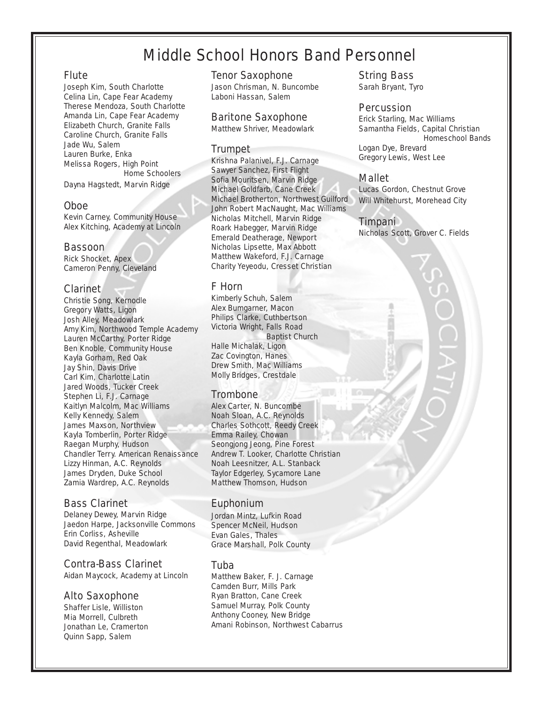## Middle School Honors Band Personnel

#### Flute

Joseph Kim, South Charlotte Celina Lin, Cape Fear Academy Therese Mendoza, South Charlotte Amanda Lin, Cape Fear Academy Elizabeth Church, Granite Falls Caroline Church, Granite Falls Jade Wu, Salem Lauren Burke, Enka Melissa Rogers, High Point Home Schoolers

Dayna Hagstedt, Marvin Ridge

#### Oboe

Kevin Carney, Community House Alex Kitching, Academy at Lincoln

#### Bassoon

Rick Shocket, Apex Cameron Penny, Cleveland

#### Clarinet

Christie Song, Kernodle Gregory Watts, Ligon Josh Alley, Meadowlark Amy Kim, Northwood Temple Academy Lauren McCarthy, Porter Ridge Ben Knoble, Community House Kayla Gorham, Red Oak Jay Shin, Davis Drive Carl Kim, Charlotte Latin Jared Woods, Tucker Creek Stephen Li, F.J. Carnage Kaitlyn Malcolm, Mac Williams Kelly Kennedy, Salem James Maxson, Northview Kayla Tomberlin, Porter Ridge Raegan Murphy, Hudson Chandler Terry. American Renaissance Lizzy Hinman, A.C. Reynolds James Dryden, Duke School Zamia Wardrep, A.C. Reynolds

#### Bass Clarinet

Delaney Dewey, Marvin Ridge Jaedon Harpe, Jacksonville Commons Erin Corliss, Asheville David Regenthal, Meadowlark

#### Contra-Bass Clarinet

Aidan Maycock, Academy at Lincoln

#### Alto Saxophone

Shaffer Lisle, Williston Mia Morrell, Culbreth Jonathan Le, Cramerton Quinn Sapp, Salem

#### Tenor Saxophone

Jason Chrisman, N. Buncombe Laboni Hassan, Salem

#### Baritone Saxophone

Matthew Shriver, Meadowlark

#### Trumpet

Krishna Palanivel, F.J. Carnage Sawyer Sanchez, First Flight Sofia Mouritsen, Marvin Ridge Michael Goldfarb, Cane Creek Michael Brotherton, Northwest Guilford John Robert MacNaught, Mac Williams Nicholas Mitchell, Marvin Ridge Roark Habegger, Marvin Ridge Emerald Deatherage, Newport Nicholas Lipsette, Max Abbott Matthew Wakeford, F.J. Carnage Charity Yeyeodu, Cresset Christian

#### F Horn

Kimberly Schuh, Salem Alex Bumgarner, Macon Philips Clarke, Cuthbertson Victoria Wright, Falls Road Baptist Church Halle Michalak, Ligon Zac Covington, Hanes Drew Smith, Mac Williams Molly Bridges, Crestdale

#### **Trombone**

Alex Carter, N. Buncombe Noah Sloan, A.C. Reynolds Charles Sothcott, Reedy Creek Emma Railey, Chowan Seongjong Jeong, Pine Forest Andrew T. Looker, Charlotte Christian Noah Leesnitzer, A.L. Stanback Taylor Edgerley, Sycamore Lane Matthew Thomson, Hudson

#### Euphonium

Jordan Mintz, Lufkin Road Spencer McNeil, Hudson Evan Gales, Thales Grace Marshall, Polk County

#### Tuba

Matthew Baker, F. J. Carnage Camden Burr, Mills Park Ryan Bratton, Cane Creek Samuel Murray, Polk County Anthony Cooney, New Bridge Amani Robinson, Northwest Cabarrus

#### String Bass

Sarah Bryant, Tyro

#### **Percussion**

Erick Starling, Mac Williams Samantha Fields, Capital Christian Homeschool Bands Logan Dye, Brevard Gregory Lewis, West Lee

#### Mallet

Lucas Gordon, Chestnut Grove Will Whitehurst, Morehead City

#### Timpani

Nicholas Scott, Grover C. Fields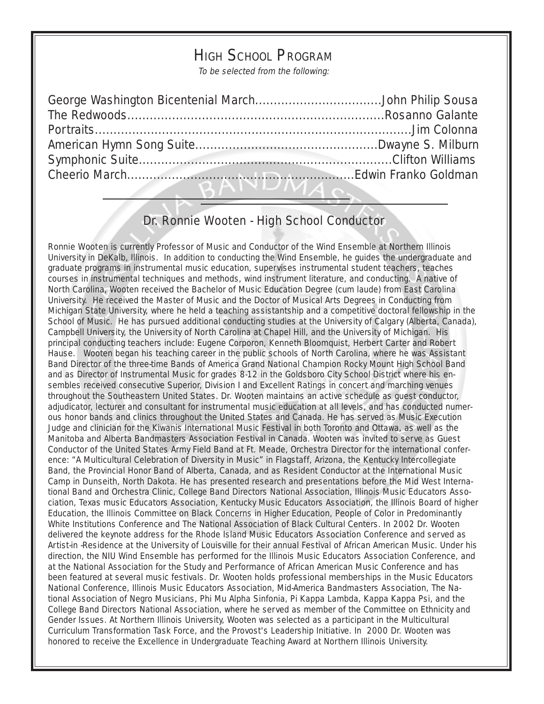## HIGH SCHOOL PROGRAM

To be selected from the following:

### Dr. Ronnie Wooten - High School Conductor

ם אוזי די וח

Ronnie Wooten is currently Professor of Music and Conductor of the Wind Ensemble at Northern Illinois University in DeKalb, Illinois. In addition to conducting the Wind Ensemble, he guides the undergraduate and graduate programs in instrumental music education, supervises instrumental student teachers, teaches courses in instrumental techniques and methods, wind instrument literature, and conducting. A native of North Carolina, Wooten received the Bachelor of Music Education Degree (cum laude) from East Carolina University. He received the Master of Music and the Doctor of Musical Arts Degrees in Conducting from Michigan State University, where he held a teaching assistantship and a competitive doctoral fellowship in the School of Music. He has pursued additional conducting studies at the University of Calgary (Alberta, Canada), Campbell University, the University of North Carolina at Chapel Hill, and the University of Michigan. His principal conducting teachers include: Eugene Corporon, Kenneth Bloomquist, Herbert Carter and Robert Hause. Wooten began his teaching career in the public schools of North Carolina, where he was Assistant Band Director of the three-time Bands of America Grand National Champion Rocky Mount High School Band and as Director of Instrumental Music for grades 8-12 in the Goldsboro City School District where his ensembles received consecutive Superior, Division I and Excellent Ratings in concert and marching venues throughout the Southeastern United States. Dr. Wooten maintains an active schedule as guest conductor, adjudicator, lecturer and consultant for instrumental music education at all levels, and has conducted numerous honor bands and clinics throughout the United States and Canada. He has served as Music Execution Judge and clinician for the Kiwanis International Music Festival in both Toronto and Ottawa, as well as the Manitoba and Alberta Bandmasters Association Festival in Canada. Wooten was invited to serve as Guest Conductor of the United States Army Field Band at Ft. Meade, Orchestra Director for the international conference: "A Multicultural Celebration of Diversity in Music" in Flagstaff, Arizona, the Kentucky Intercollegiate Band, the Provincial Honor Band of Alberta, Canada, and as Resident Conductor at the International Music Camp in Dunseith, North Dakota. He has presented research and presentations before the Mid West International Band and Orchestra Clinic, College Band Directors National Association, Illinois Music Educators Association, Texas music Educators Association, Kentucky Music Educators Association, the Illinois Board of higher Education, the Illinois Committee on Black Concerns in Higher Education, People of Color in Predominantly White Institutions Conference and The National Association of Black Cultural Centers. In 2002 Dr. Wooten delivered the keynote address for the Rhode Island Music Educators Association Conference and served as Artist-in -Residence at the University of Louisville for their annual Festival of African American Music. Under his direction, the NIU Wind Ensemble has performed for the Illinois Music Educators Association Conference, and at the National Association for the Study and Performance of African American Music Conference and has been featured at several music festivals. Dr. Wooten holds professional memberships in the Music Educators National Conference, Illinois Music Educators Association, Mid-America Bandmasters Association, The National Association of Negro Musicians, Phi Mu Alpha Sinfonia, Pi Kappa Lambda, Kappa Kappa Psi, and the College Band Directors National Association, where he served as member of the Committee on Ethnicity and Gender Issues. At Northern Illinois University, Wooten was selected as a participant in the Multicultural Curriculum Transformation Task Force, and the Provost's Leadership Initiative. In 2000 Dr. Wooten was honored to receive the Excellence in Undergraduate Teaching Award at Northern Illinois University.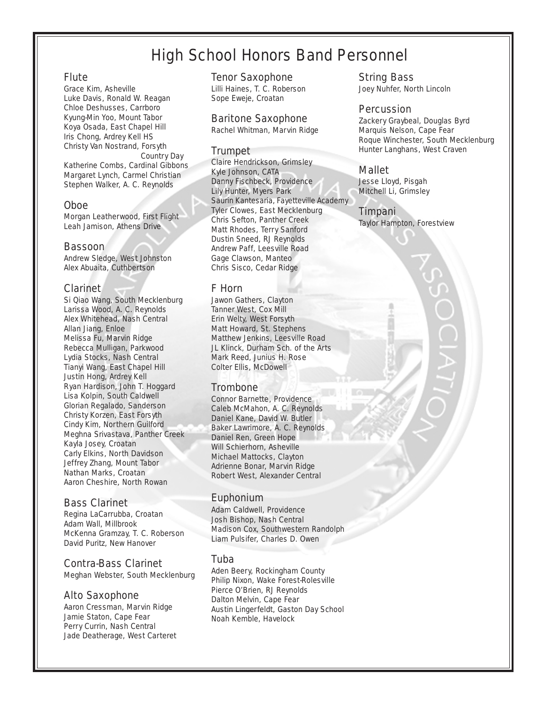## High School Honors Band Personnel

#### **Flute**

Grace Kim, Asheville Luke Davis, Ronald W. Reagan Chloe Deshusses, Carrboro Kyung-Min Yoo, Mount Tabor Koya Osada, East Chapel Hill Iris Chong, Ardrey Kell HS Christy Van Nostrand, Forsyth Country Day Katherine Combs, Cardinal Gibbons Margaret Lynch, Carmel Christian Stephen Walker, A. C. Reynolds

#### Oboe

Morgan Leatherwood, First Flight Leah Jamison, Athens Drive

#### Bassoon

Andrew Sledge, West Johnston Alex Abuaita, Cuthbertson

#### Clarinet

Si Qiao Wang, South Mecklenburg Larissa Wood, A. C. Reynolds Alex Whitehead, Nash Central Allan Jiang, Enloe Melissa Fu, Marvin Ridge Rebecca Mulligan, Parkwood Lydia Stocks, Nash Central Tianyi Wang, East Chapel Hill Justin Hong, Ardrey Kell Ryan Hardison, John T. Hoggard Lisa Kolpin, South Caldwell Glorian Regalado, Sanderson Christy Korzen, East Forsyth Cindy Kim, Northern Guilford Meghna Srivastava, Panther Creek Kayla Josey, Croatan Carly Elkins, North Davidson Jeffrey Zhang, Mount Tabor Nathan Marks, Croatan Aaron Cheshire, North Rowan

#### Bass Clarinet

Regina LaCarrubba, Croatan Adam Wall, Millbrook McKenna Gramzay, T. C. Roberson David Puritz, New Hanover

#### Contra-Bass Clarinet

Meghan Webster, South Mecklenburg

#### Alto Saxophone

Aaron Cressman, Marvin Ridge Jamie Staton, Cape Fear Perry Currin, Nash Central Jade Deatherage, West Carteret

#### Tenor Saxophone

Lilli Haines, T. C. Roberson Sope Eweje, Croatan

#### Baritone Saxophone

Rachel Whitman, Marvin Ridge

#### Trumpet

Claire Hendrickson, Grimsley Kyle Johnson, CATA Danny Fischbeck, Providence Lily Hunter, Myers Park Saurin Kantesaria, Fayetteville Academy Tyler Clowes, East Mecklenburg Chris Sefton, Panther Creek Matt Rhodes, Terry Sanford Dustin Sneed, RJ Reynolds Andrew Paff, Leesville Road Gage Clawson, Manteo Chris Sisco, Cedar Ridge

#### F Horn

Jawon Gathers, Clayton Tanner West, Cox Mill Erin Welty, West Forsyth Matt Howard, St. Stephens Matthew Jenkins, Leesville Road JL Klinck, Durham Sch. of the Arts Mark Reed, Junius H. Rose Colter Ellis, McDowell

#### **Trombone**

Connor Barnette, Providence Caleb McMahon, A. C. Reynolds Daniel Kane, David W. Butler Baker Lawrimore, A. C. Reynolds Daniel Ren, Green Hope Will Schierhorn, Asheville Michael Mattocks, Clayton Adrienne Bonar, Marvin Ridge Robert West, Alexander Central

#### Euphonium

Adam Caldwell, Providence Josh Bishop, Nash Central Madison Cox, Southwestern Randolph Liam Pulsifer, Charles D. Owen

#### Tuba

Aden Beery, Rockingham County Philip Nixon, Wake Forest-Rolesville Pierce O'Brien, RJ Reynolds Dalton Melvin, Cape Fear Austin Lingerfeldt, Gaston Day School Noah Kemble, Havelock

String Bass Joey Nuhfer, North Lincoln

#### **Percussion**

Zackery Graybeal, Douglas Byrd Marquis Nelson, Cape Fear Roque Winchester, South Mecklenburg Hunter Langhans, West Craven

#### Mallet

Jesse Lloyd, Pisgah Mitchell Li, Grimsley

#### Timpani

Taylor Hampton, Forestview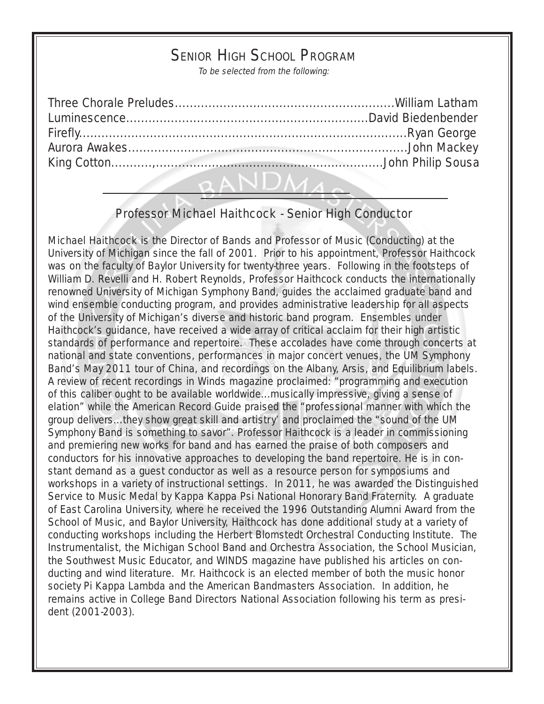## SENIOR HIGH SCHOOL PROGRAM

To be selected from the following:

| QANDMA |  |
|--------|--|

## Professor Michael Haithcock - Senior High Conductor

Michael Haithcock is the Director of Bands and Professor of Music (Conducting) at the University of Michigan since the fall of 2001. Prior to his appointment, Professor Haithcock was on the faculty of Baylor University for twenty-three years. Following in the footsteps of William D. Revelli and H. Robert Reynolds, Professor Haithcock conducts the internationally renowned University of Michigan Symphony Band, guides the acclaimed graduate band and wind ensemble conducting program, and provides administrative leadership for all aspects of the University of Michigan's diverse and historic band program. Ensembles under Haithcock's guidance, have received a wide array of critical acclaim for their high artistic standards of performance and repertoire. These accolades have come through concerts at national and state conventions, performances in major concert venues, the UM Symphony Band's May 2011 tour of China, and recordings on the Albany, Arsis, and Equilibrium labels. A review of recent recordings in Winds magazine proclaimed: "programming and execution of this caliber ought to be available worldwide...musically impressive, giving a sense of elation" while the American Record Guide praised the "professional manner with which the group delivers...they show great skill and artistry' and proclaimed the "sound of the UM Symphony Band is something to savor". Professor Haithcock is a leader in commissioning and premiering new works for band and has earned the praise of both composers and conductors for his innovative approaches to developing the band repertoire. He is in constant demand as a guest conductor as well as a resource person for symposiums and workshops in a variety of instructional settings. In 2011, he was awarded the Distinguished Service to Music Medal by Kappa Kappa Psi National Honorary Band Fraternity. A graduate of East Carolina University, where he received the 1996 Outstanding Alumni Award from the School of Music, and Baylor University, Haithcock has done additional study at a variety of conducting workshops including the Herbert Blomstedt Orchestral Conducting Institute. The Instrumentalist, the Michigan School Band and Orchestra Association, the School Musician, the Southwest Music Educator, and WINDS magazine have published his articles on conducting and wind literature. Mr. Haithcock is an elected member of both the music honor society Pi Kappa Lambda and the American Bandmasters Association. In addition, he remains active in College Band Directors National Association following his term as president (2001-2003).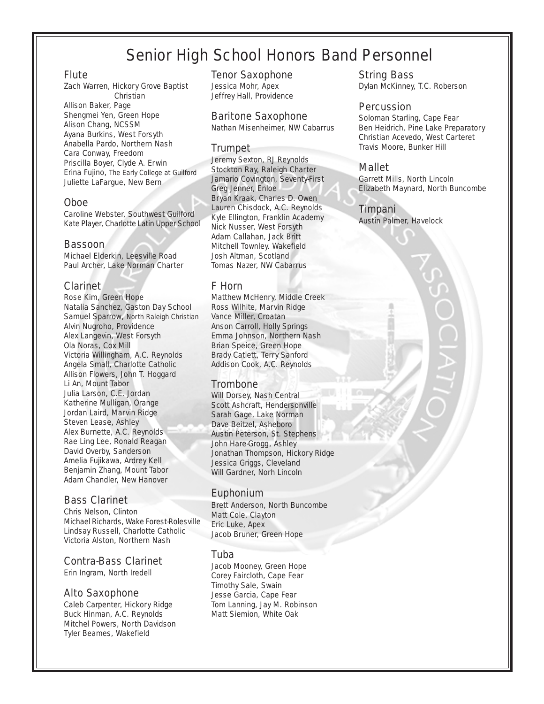## Senior High School Honors Band Personnel

#### Flute

Zach Warren, Hickory Grove Baptist **Christian** Allison Baker, Page Shengmei Yen, Green Hope Alison Chang, NCSSM Ayana Burkins, West Forsyth Anabella Pardo, Northern Nash Cara Conway, Freedom Priscilla Boyer, Clyde A. Erwin Erina Fujino, The Early College at Guilford Juliette LaFargue, New Bern

#### Oboe

Caroline Webster, Southwest Guilford Kate Player, Charlotte Latin Upper School

#### Bassoon

Michael Elderkin, Leesville Road Paul Archer, Lake Norman Charter

#### Clarinet

Rose Kim, Green Hope Natalia Sanchez, Gaston Day School Samuel Sparrow, North Raleigh Christian Alvin Nugroho, Providence Alex Langevin, West Forsyth Ola Noras, Cox Mill Victoria Willingham, A.C. Reynolds Angela Small, Charlotte Catholic Allison Flowers, John T. Hoggard Li An, Mount Tabor Julia Larson, C.E. Jordan Katherine Mulligan, Orange Jordan Laird, Marvin Ridge Steven Lease, Ashley Alex Burnette, A.C. Reynolds Rae Ling Lee, Ronald Reagan David Overby, Sanderson Amelia Fujikawa, Ardrey Kell Benjamin Zhang, Mount Tabor Adam Chandler, New Hanover

#### Bass Clarinet

Chris Nelson, Clinton Michael Richards, Wake Forest-Rolesville Lindsay Russell, Charlotte Catholic Victoria Alston, Northern Nash

#### Contra-Bass Clarinet

Erin Ingram, North Iredell

#### Alto Saxophone

Caleb Carpenter, Hickory Ridge Buck Hinman, A.C. Reynolds Mitchel Powers, North Davidson Tyler Beames, Wakefield

#### Tenor Saxophone

Jessica Mohr, Apex Jeffrey Hall, Providence

#### Baritone Saxophone

Nathan Misenheimer, NW Cabarrus

#### **Trumpet**

Jeremy Sexton, RJ Reynolds Stockton Ray, Raleigh Charter Jamario Covington, Seventy-First Greg Jenner, Enloe Bryan Kraak, Charles D. Owen Lauren Chisdock, A.C. Reynolds Kyle Ellington, Franklin Academy Nick Nusser, West Forsyth Adam Callahan, Jack Britt Mitchell Townley. Wakefield Josh Altman, Scotland Tomas Nazer, NW Cabarrus

#### F Horn

Matthew McHenry, Middle Creek Ross Wilhite, Marvin Ridge Vance Miller, Croatan Anson Carroll, Holly Springs Emma Johnson, Northern Nash Brian Speice, Green Hope Brady Catlett, Terry Sanford Addison Cook, A.C. Reynolds

#### Trombone

Will Dorsey, Nash Central Scott Ashcraft, Hendersonville Sarah Gage, Lake Norman Dave Beitzel, Asheboro Austin Peterson, St. Stephens John Hare-Grogg, Ashley Jonathan Thompson, Hickory Ridge Jessica Griggs, Cleveland Will Gardner, Norh Lincoln

#### Euphonium

Brett Anderson, North Buncombe Matt Cole, Clayton Eric Luke, Apex Jacob Bruner, Green Hope

#### Tuba

Jacob Mooney, Green Hope Corey Faircloth, Cape Fear Timothy Sale, Swain Jesse Garcia, Cape Fear Tom Lanning, Jay M. Robinson Matt Siemion, White Oak

#### String Bass

Dylan McKinney, T.C. Roberson

#### Percussion

Soloman Starling, Cape Fear Ben Heidrich, Pine Lake Preparatory Christian Acevedo, West Carteret Travis Moore, Bunker Hill

#### Mallet

Garrett Mills, North Lincoln Elizabeth Maynard, North Buncombe

#### Timpani

Austin Palmer, Havelock